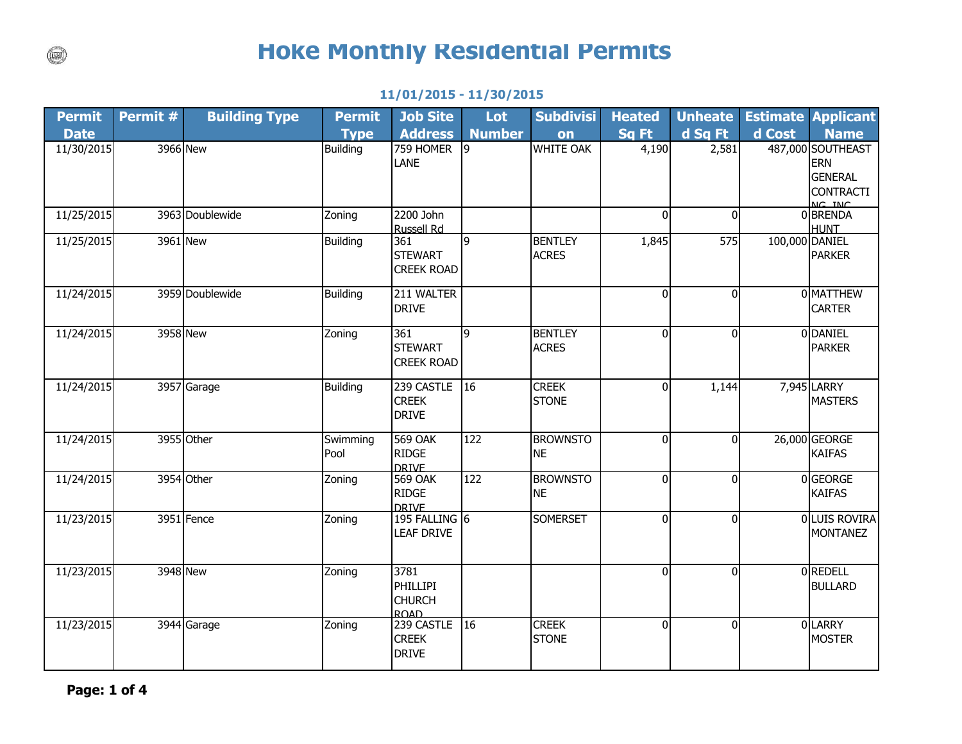## **Hoke Monthly Residential Permits**

| <b>Permit</b> | Permit # | <b>Building Type</b> | <b>Permit</b>    | <b>Job Site</b>                                  | Lot              | <b>Subdivisi</b>               | <b>Heated</b>  | <b>Unheate</b> |                | <b>Estimate Applicant</b>                                                       |
|---------------|----------|----------------------|------------------|--------------------------------------------------|------------------|--------------------------------|----------------|----------------|----------------|---------------------------------------------------------------------------------|
| <b>Date</b>   |          |                      | <b>Type</b>      | <b>Address</b>                                   | <b>Number</b>    | on                             | Sq Ft          | d Sq Ft        | d Cost         | <b>Name</b>                                                                     |
| 11/30/2015    |          | 3966 New             | <b>Building</b>  | 759 HOMER<br>LANE                                | l9               | <b>WHITE OAK</b>               | 4,190          | 2,581          |                | 487,000 SOUTHEAST<br><b>ERN</b><br><b>GENERAL</b><br><b>CONTRACTI</b><br>NC TNC |
| 11/25/2015    |          | 3963 Doublewide      | Zoning           | 2200 John<br><b>Russell Rd</b>                   |                  |                                | 0              | $\Omega$       |                | 0 BRENDA<br><b>HUNT</b>                                                         |
| 11/25/2015    |          | 3961 New             | <b>Building</b>  | 361<br><b>STEWART</b><br><b>CREEK ROAD</b>       | l9               | <b>BENTLEY</b><br><b>ACRES</b> | 1,845          | 575            | 100,000 DANIEL | <b>PARKER</b>                                                                   |
| 11/24/2015    |          | 3959 Doublewide      | <b>Building</b>  | 211 WALTER<br><b>DRIVE</b>                       |                  |                                | $\overline{0}$ | $\Omega$       |                | 0 MATTHEW<br><b>CARTER</b>                                                      |
| 11/24/2015    |          | 3958 New             | Zoning           | 361<br><b>STEWART</b><br><b>CREEK ROAD</b>       | 9                | <b>BENTLEY</b><br><b>ACRES</b> | $\Omega$       | $\Omega$       |                | 0 DANIEL<br><b>PARKER</b>                                                       |
| 11/24/2015    |          | 3957 Garage          | <b>Building</b>  | 239 CASTLE<br><b>CREEK</b><br><b>DRIVE</b>       | $ 16\rangle$     | <b>CREEK</b><br><b>STONE</b>   | 0              | 1,144          |                | 7,945 LARRY<br><b>MASTERS</b>                                                   |
| 11/24/2015    |          | 3955 Other           | Swimming<br>Pool | <b>569 OAK</b><br><b>RIDGE</b><br><b>DRIVE</b>   | 122              | <b>BROWNSTO</b><br><b>NE</b>   | $\overline{0}$ | $\Omega$       |                | 26,000 GEORGE<br><b>KAIFAS</b>                                                  |
| 11/24/2015    |          | 3954 Other           | Zoning           | <b>569 OAK</b><br><b>RIDGE</b><br><b>DRIVE</b>   | $\overline{122}$ | <b>BROWNSTO</b><br><b>NE</b>   | $\overline{0}$ | $\Omega$       |                | 0 GEORGE<br><b>KAIFAS</b>                                                       |
| 11/23/2015    |          | 3951 Fence           | Zoning           | 195 FALLING 6<br><b>LEAF DRIVE</b>               |                  | <b>SOMERSET</b>                | $\overline{0}$ | $\Omega$       |                | 0 LUIS ROVIRA<br><b>MONTANEZ</b>                                                |
| 11/23/2015    |          | 3948 New             | Zoning           | 3781<br><b>PHILLIPI</b><br><b>CHURCH</b><br>ROAD |                  |                                | $\overline{0}$ | $\Omega$       |                | 0 REDELL<br><b>BULLARD</b>                                                      |
| 11/23/2015    |          | 3944 Garage          | Zoning           | 239 CASTLE<br><b>CREEK</b><br><b>DRIVE</b>       | $\overline{16}$  | <b>CREEK</b><br><b>STONE</b>   | $\overline{0}$ | $\Omega$       |                | 0LARRY<br><b>MOSTER</b>                                                         |

## **11/01/2015 - 11/30/2015**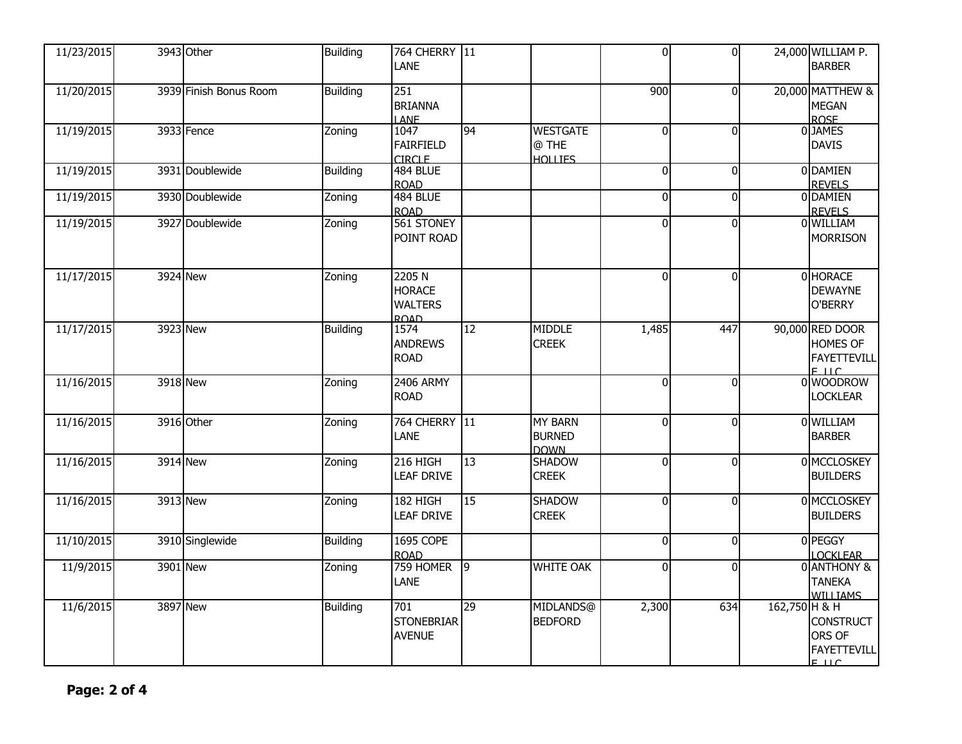| 11/23/2015 | 3943 Other             | <b>Building</b> | 764 CHERRY 11<br>LANE                                   |                |                                                | $\overline{0}$ | $\overline{0}$ |               | 24,000 WILLIAM P.<br><b>BARBER</b>                              |
|------------|------------------------|-----------------|---------------------------------------------------------|----------------|------------------------------------------------|----------------|----------------|---------------|-----------------------------------------------------------------|
| 11/20/2015 | 3939 Finish Bonus Room | <b>Building</b> | 251<br><b>BRIANNA</b><br><b>LANE</b>                    |                |                                                | 900            | $\overline{0}$ |               | 20,000 MATTHEW &<br><b>MEGAN</b><br><b>ROSE</b>                 |
| 11/19/2015 | 3933 Fence             | Zoning          | 1047<br><b>FAIRFIELD</b><br><b>CIRCLE</b>               | 94             | <b>WESTGATE</b><br>@ THE<br><b>HOLLIES</b>     | $\bf{0}$       | $\overline{0}$ |               | 0JAMES<br><b>DAVIS</b>                                          |
| 11/19/2015 | 3931 Doublewide        | <b>Building</b> | <b>484 BLUE</b><br><b>ROAD</b>                          |                |                                                | $\mathbf 0$    | $\overline{0}$ |               | 0 DAMIEN<br><b>REVELS</b>                                       |
| 11/19/2015 | 3930 Doublewide        | Zoning          | <b>484 BLUE</b><br><b>ROAD</b>                          |                |                                                | $\mathbf{0}$   | $\Omega$       |               | 0 DAMIEN<br><b>REVELS</b>                                       |
| 11/19/2015 | 3927 Doublewide        | Zoning          | 561 STONEY<br>POINT ROAD                                |                |                                                | $\mathbf 0$    | $\overline{0}$ |               | 0 WILLIAM<br><b>MORRISON</b>                                    |
| 11/17/2015 | 3924 New               | Zoning          | 2205N<br><b>HORACE</b><br><b>WALTERS</b><br><b>ROAD</b> |                |                                                | $\Omega$       | $\Omega$       |               | 0 HORACE<br><b>DEWAYNE</b><br>O'BERRY                           |
| 11/17/2015 | 3923 New               | <b>Building</b> | 1574<br><b>ANDREWS</b><br><b>ROAD</b>                   | 12             | <b>MIDDLE</b><br><b>CREEK</b>                  | 1,485          | 447            |               | 90,000 RED DOOR<br>HOMES OF<br><b>FAYETTEVILL</b><br>$F \cup C$ |
| 11/16/2015 | 3918 New               | Zoning          | 2406 ARMY<br><b>ROAD</b>                                |                |                                                | $\mathbf 0$    | $\Omega$       |               | 0 WOODROW<br><b>LOCKLEAR</b>                                    |
| 11/16/2015 | 3916 Other             | Zoning          | 764 CHERRY 11<br><b>LANE</b>                            |                | <b>MY BARN</b><br><b>BURNED</b><br><b>DOWN</b> | $\Omega$       | $\overline{0}$ |               | 0 WILLIAM<br><b>BARBER</b>                                      |
| 11/16/2015 | 3914 New               | Zoning          | 216 HIGH<br><b>LEAF DRIVE</b>                           | 13             | <b>SHADOW</b><br><b>CREEK</b>                  | $\pmb{0}$      | $\overline{0}$ |               | 0 MCCLOSKEY<br><b>BUILDERS</b>                                  |
| 11/16/2015 | 3913 New               | Zoning          | 182 HIGH<br><b>LEAF DRIVE</b>                           | 15             | <b>SHADOW</b><br><b>CREEK</b>                  | $\Omega$       | $\Omega$       |               | 0 MCCLOSKEY<br><b>BUILDERS</b>                                  |
| 11/10/2015 | 3910 Singlewide        | <b>Building</b> | <b>1695 COPE</b><br><b>ROAD</b>                         |                |                                                | $\mathbf{0}$   | $\Omega$       |               | 0 PEGGY<br><b>LOCKLEAR</b>                                      |
| 11/9/2015  | 3901 New               | Zoning          | 759 HOMER<br><b>LANE</b>                                | $\overline{9}$ | <b>WHITE OAK</b>                               | $\Omega$       | $\Omega$       |               | 0 ANTHONY &<br><b>TANEKA</b><br><b>WILLTAMS</b>                 |
| 11/6/2015  | 3897 New               | <b>Building</b> | 701<br><b>STONEBRIAR</b><br><b>AVENUE</b>               | 29             | MIDLANDS@<br><b>BEDFORD</b>                    | 2,300          | 634            | 162,750 H & H | <b>CONSTRUCT</b><br>ORS OF<br><b>FAYETTEVILL</b><br>$F$ IIC     |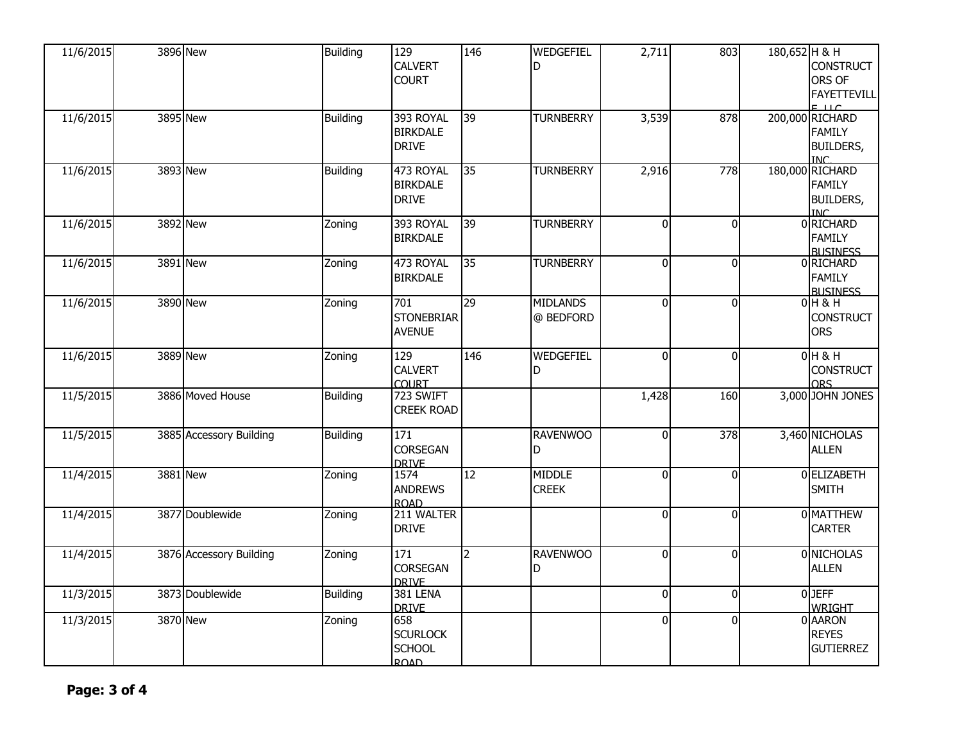| 11/6/2015 | 3896 New                | <b>Building</b> | 129<br><b>CALVERT</b><br><b>COURT</b>                  | 146            | WEDGEFIEL<br>D                | 2,711          | 803            | 180,652 H & H | <b>CONSTRUCT</b><br>ORS OF<br><b>FAYETTEVILL</b><br>$F^{\text{H}}$      |
|-----------|-------------------------|-----------------|--------------------------------------------------------|----------------|-------------------------------|----------------|----------------|---------------|-------------------------------------------------------------------------|
| 11/6/2015 | 3895 New                | <b>Building</b> | 393 ROYAL<br><b>BIRKDALE</b><br><b>DRIVE</b>           | 39             | <b>TURNBERRY</b>              | 3,539          | 878            |               | 200,000 RICHARD<br><b>FAMILY</b><br><b>BUILDERS,</b><br><b>INC</b>      |
| 11/6/2015 | 3893 New                | Building        | 473 ROYAL<br><b>BIRKDALE</b><br><b>DRIVE</b>           | 35             | <b>TURNBERRY</b>              | 2,916          | 778            |               | 180,000 RICHARD<br><b>FAMILY</b><br><b>BUILDERS,</b><br>TN <sub>C</sub> |
| 11/6/2015 | 3892 New                | Zoning          | 393 ROYAL<br><b>BIRKDALE</b>                           | 39             | <b>TURNBERRY</b>              | $\overline{0}$ | $\overline{0}$ |               | 0 RICHARD<br><b>FAMILY</b><br><b>BLISTNESS</b>                          |
| 11/6/2015 | 3891 New                | Zoning          | 473 ROYAL<br><b>BIRKDALE</b>                           | 35             | <b>TURNBERRY</b>              | $\overline{0}$ | $\overline{0}$ |               | 0 RICHARD<br><b>FAMILY</b><br><b>BLISTNESS</b>                          |
| 11/6/2015 | 3890 New                | Zoning          | 701<br><b>STONEBRIAR</b><br><b>AVENUE</b>              | 29             | <b>MIDLANDS</b><br>@ BEDFORD  | $\overline{0}$ | $\overline{0}$ |               | $0H$ & H<br><b>CONSTRUCT</b><br><b>ORS</b>                              |
| 11/6/2015 | 3889 New                | Zoning          | 129<br><b>CALVERT</b><br><b>COURT</b>                  | 146            | WEDGEFIEL<br>D                | $\Omega$       | $\Omega$       |               | $0H$ & H<br><b>CONSTRUCT</b><br><b>ORS</b>                              |
| 11/5/2015 | 3886 Moved House        | <b>Building</b> | 723 SWIFT<br><b>CREEK ROAD</b>                         |                |                               | 1,428          | 160            |               | 3,000 JOHN JONES                                                        |
| 11/5/2015 | 3885 Accessory Building | <b>Building</b> | 171<br><b>CORSEGAN</b><br><b>DRIVE</b>                 |                | <b>RAVENWOO</b><br>D          | $\Omega$       | 378            |               | 3,460 NICHOLAS<br><b>ALLEN</b>                                          |
| 11/4/2015 | 3881 New                | Zoning          | $\frac{1}{1574}$<br><b>ANDREWS</b><br><b>ROAD</b>      | 12             | <b>MIDDLE</b><br><b>CREEK</b> | $\Omega$       | $\Omega$       |               | 0 ELIZABETH<br><b>SMITH</b>                                             |
| 11/4/2015 | 3877 Doublewide         | Zoning          | 211 WALTER<br><b>DRIVE</b>                             |                |                               | $\overline{0}$ | $\overline{0}$ |               | 0 MATTHEW<br><b>CARTER</b>                                              |
| 11/4/2015 | 3876 Accessory Building | Zoning          | 171<br><b>CORSEGAN</b><br><b>DRIVE</b>                 | $\overline{2}$ | <b>RAVENWOO</b><br>D          | $\overline{0}$ | $\Omega$       |               | 0 NICHOLAS<br><b>ALLEN</b>                                              |
| 11/3/2015 | 3873 Doublewide         | <b>Building</b> | 381 LENA<br><b>DRIVE</b>                               |                |                               | $\overline{0}$ | $\overline{0}$ |               | $0$ JEFF<br>WRIGHT                                                      |
| 11/3/2015 | 3870 New                | Zoning          | 658<br><b>SCURLOCK</b><br><b>SCHOOL</b><br><b>ROAD</b> |                |                               | $\Omega$       | $\overline{0}$ |               | 0 AARON<br><b>REYES</b><br><b>GUTIERREZ</b>                             |